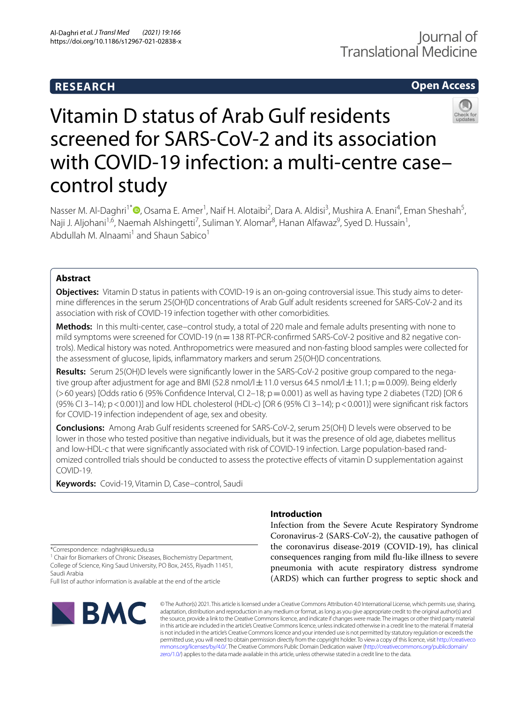# **RESEARCH**

# **Open Access**



# Vitamin D status of Arab Gulf residents screened for SARS-CoV-2 and its association with COVID-19 infection: a multi-centre casecontrol study

Nasser M. Al-Daghri<sup>1\*</sup><sup>®</sup>[,](http://orcid.org/0000-0001-5472-1725) Osama E. Amer<sup>1</sup>, Naif H. Alotaibi<sup>2</sup>, Dara A. Aldisi<sup>3</sup>, Mushira A. Enani<sup>4</sup>, Eman Sheshah<sup>5</sup>, Naji J. Aljohani<sup>1,6</sup>, Naemah Alshingetti<sup>7</sup>, Suliman Y. Alomar<sup>8</sup>, Hanan Alfawaz<sup>9</sup>, Syed D. Hussain<sup>1</sup>, Abdullah M. Alnaami<sup>1</sup> and Shaun Sabico<sup>1</sup>

# **Abstract**

**Objectives:** Vitamin D status in patients with COVID-19 is an on-going controversial issue. This study aims to determine diferences in the serum 25(OH)D concentrations of Arab Gulf adult residents screened for SARS-CoV-2 and its association with risk of COVID-19 infection together with other comorbidities.

**Methods:** In this multi-center, case–control study, a total of 220 male and female adults presenting with none to mild symptoms were screened for COVID-19 (n = 138 RT-PCR-confirmed SARS-CoV-2 positive and 82 negative controls). Medical history was noted. Anthropometrics were measured and non-fasting blood samples were collected for the assessment of glucose, lipids, infammatory markers and serum 25(OH)D concentrations.

**Results:** Serum 25(OH)D levels were significantly lower in the SARS-CoV-2 positive group compared to the negative group after adjustment for age and BMI (52.8 nmol/l $\pm$ 11.0 versus 64.5 nmol/l $\pm$ 11.1; p=0.009). Being elderly  $(>60 \text{ years})$  [Odds ratio 6 (95% Confidence Interval, CI 2–18;  $p = 0.001$ ) as well as having type 2 diabetes (T2D) [OR 6 (95% CI 3–14);  $p < 0.001$ ] and low HDL cholesterol (HDL-c) [OR 6 (95% CI 3–14);  $p < 0.001$ ]] were significant risk factors for COVID-19 infection independent of age, sex and obesity.

**Conclusions:** Among Arab Gulf residents screened for SARS-CoV-2, serum 25(OH) D levels were observed to be lower in those who tested positive than negative individuals, but it was the presence of old age, diabetes mellitus and low-HDL-c that were significantly associated with risk of COVID-19 infection. Large population-based randomized controlled trials should be conducted to assess the protective efects of vitamin D supplementation against COVID-19.

**Keywords:** Covid-19, Vitamin D, Case–control, Saudi

# **Introduction**

Infection from the Severe Acute Respiratory Syndrome Coronavirus-2 (SARS-CoV-2), the causative pathogen of the coronavirus disease-2019 (COVID-19), has clinical consequences ranging from mild fu-like illness to severe pneumonia with acute respiratory distress syndrome (ARDS) which can further progress to septic shock and

\*Correspondence: ndaghri@ksu.edu.sa

<sup>1</sup> Chair for Biomarkers of Chronic Diseases, Biochemistry Department, College of Science, King Saud University, PO Box, 2455, Riyadh 11451, Saudi Arabia

Full list of author information is available at the end of the article



© The Author(s) 2021. This article is licensed under a Creative Commons Attribution 4.0 International License, which permits use, sharing, adaptation, distribution and reproduction in any medium or format, as long as you give appropriate credit to the original author(s) and the source, provide a link to the Creative Commons licence, and indicate if changes were made. The images or other third party material in this article are included in the article's Creative Commons licence, unless indicated otherwise in a credit line to the material. If material is not included in the article's Creative Commons licence and your intended use is not permitted by statutory regulation or exceeds the permitted use, you will need to obtain permission directly from the copyright holder. To view a copy of this licence, visit [http://creativeco](http://creativecommons.org/licenses/by/4.0/) [mmons.org/licenses/by/4.0/.](http://creativecommons.org/licenses/by/4.0/) The Creative Commons Public Domain Dedication waiver ([http://creativecommons.org/publicdomain/](http://creativecommons.org/publicdomain/zero/1.0/) [zero/1.0/\)](http://creativecommons.org/publicdomain/zero/1.0/) applies to the data made available in this article, unless otherwise stated in a credit line to the data.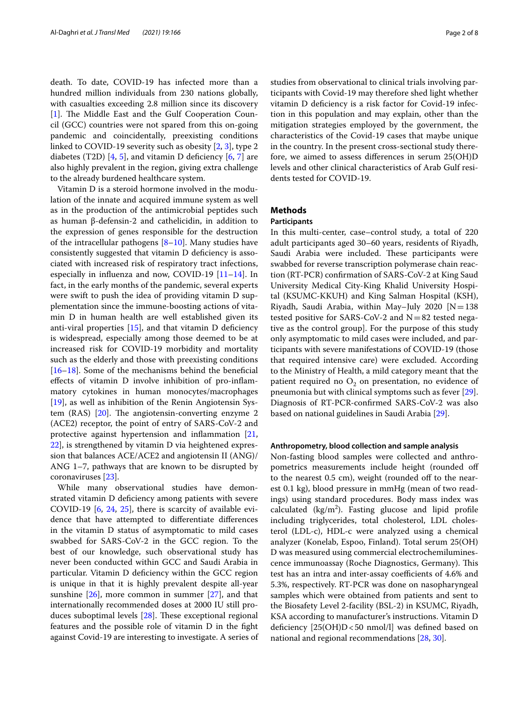death. To date, COVID-19 has infected more than a hundred million individuals from 230 nations globally, with casualties exceeding 2.8 million since its discovery [[1\]](#page-6-0). The Middle East and the Gulf Cooperation Council (GCC) countries were not spared from this on-going pandemic and coincidentally, preexisting conditions linked to COVID-19 severity such as obesity [\[2](#page-6-1), [3\]](#page-6-2), type 2 diabetes (T2D) [\[4](#page-6-3), [5](#page-6-4)], and vitamin D deficiency  $[6, 7]$  $[6, 7]$  $[6, 7]$  are also highly prevalent in the region, giving extra challenge to the already burdened healthcare system.

Vitamin D is a steroid hormone involved in the modulation of the innate and acquired immune system as well as in the production of the antimicrobial peptides such as human β-defensin-2 and cathelicidin, in addition to the expression of genes responsible for the destruction of the intracellular pathogens  $[8-10]$  $[8-10]$  $[8-10]$ . Many studies have consistently suggested that vitamin D defciency is associated with increased risk of respiratory tract infections, especially in infuenza and now, COVID-19 [\[11–](#page-6-9)[14\]](#page-6-10). In fact, in the early months of the pandemic, several experts were swift to push the idea of providing vitamin D supplementation since the immune-boosting actions of vitamin D in human health are well established given its anti-viral properties  $[15]$  $[15]$ , and that vitamin D deficiency is widespread, especially among those deemed to be at increased risk for COVID-19 morbidity and mortality such as the elderly and those with preexisting conditions [[16–](#page-6-12)[18](#page-6-13)]. Some of the mechanisms behind the benefcial efects of vitamin D involve inhibition of pro-infammatory cytokines in human monocytes/macrophages [[19\]](#page-6-14), as well as inhibition of the Renin Angiotensin System  $(RAS)$  [[20\]](#page-6-15). The angiotensin-converting enzyme 2 (ACE2) receptor, the point of entry of SARS-CoV-2 and protective against hypertension and infammation [\[21](#page-6-16), [22\]](#page-6-17), is strengthened by vitamin D via heightened expression that balances ACE/ACE2 and angiotensin II (ANG)/ ANG 1–7, pathways that are known to be disrupted by coronaviruses [\[23\]](#page-6-18).

While many observational studies have demonstrated vitamin D defciency among patients with severe COVID-19 [[6,](#page-6-5) [24,](#page-6-19) [25](#page-6-20)], there is scarcity of available evidence that have attempted to diferentiate diferences in the vitamin D status of asymptomatic to mild cases swabbed for SARS-CoV-2 in the GCC region. To the best of our knowledge, such observational study has never been conducted within GCC and Saudi Arabia in particular. Vitamin D defciency within the GCC region is unique in that it is highly prevalent despite all-year sunshine  $[26]$  $[26]$ , more common in summer  $[27]$  $[27]$  $[27]$ , and that internationally recommended doses at 2000 IU still produces suboptimal levels  $[28]$  $[28]$  $[28]$ . These exceptional regional features and the possible role of vitamin D in the fght against Covid-19 are interesting to investigate. A series of studies from observational to clinical trials involving participants with Covid-19 may therefore shed light whether vitamin D defciency is a risk factor for Covid-19 infection in this population and may explain, other than the mitigation strategies employed by the government, the characteristics of the Covid-19 cases that maybe unique in the country. In the present cross-sectional study therefore, we aimed to assess diferences in serum 25(OH)D levels and other clinical characteristics of Arab Gulf residents tested for COVID-19.

# **Methods**

# **Participants**

In this multi-center, case–control study, a total of 220 adult participants aged 30–60 years, residents of Riyadh, Saudi Arabia were included. These participants were swabbed for reverse transcription polymerase chain reaction (RT-PCR) confrmation of SARS-CoV-2 at King Saud University Medical City-King Khalid University Hospital (KSUMC-KKUH) and King Salman Hospital (KSH), Riyadh, Saudi Arabia, within May-July 2020  $[N=138]$ tested positive for SARS-CoV-2 and  $N=82$  tested negative as the control group]. For the purpose of this study only asymptomatic to mild cases were included, and participants with severe manifestations of COVID-19 (those that required intensive care) were excluded. According to the Ministry of Health, a mild category meant that the patient required no  $O_2$  on presentation, no evidence of pneumonia but with clinical symptoms such as fever [\[29](#page-6-24)]. Diagnosis of RT-PCR-confrmed SARS-CoV-2 was also based on national guidelines in Saudi Arabia [\[29\]](#page-6-24).

## **Anthropometry, blood collection and sample analysis**

Non-fasting blood samples were collected and anthropometrics measurements include height (rounded of to the nearest  $0.5$  cm), weight (rounded off to the nearest 0.1 kg), blood pressure in mmHg (mean of two readings) using standard procedures. Body mass index was calculated  $(kg/m<sup>2</sup>)$ . Fasting glucose and lipid profile including triglycerides, total cholesterol, LDL cholesterol (LDL-c), HDL-c were analyzed using a chemical analyzer (Konelab, Espoo, Finland). Total serum 25(OH) D was measured using commercial electrochemiluminescence immunoassay (Roche Diagnostics, Germany). This test has an intra and inter-assay coefficients of 4.6% and 5.3%, respectively. RT-PCR was done on nasopharyngeal samples which were obtained from patients and sent to the Biosafety Level 2-facility (BSL-2) in KSUMC, Riyadh, KSA according to manufacturer's instructions. Vitamin D deficiency  $[25(OH)D < 50$  nmol/l] was defined based on national and regional recommendations [\[28,](#page-6-23) [30](#page-7-0)].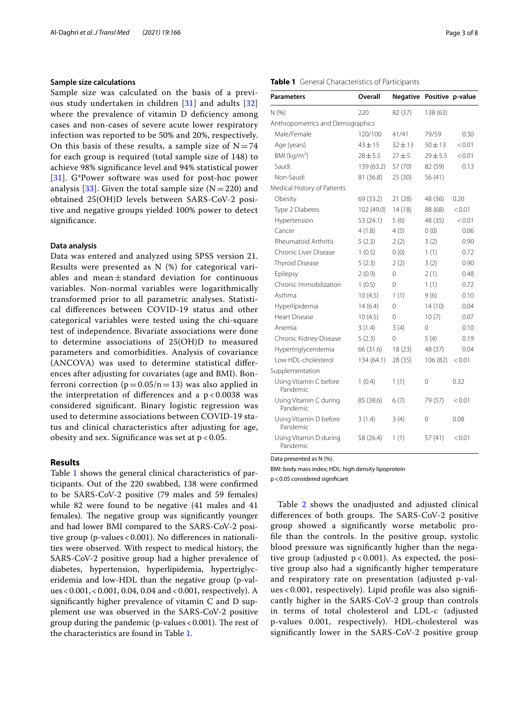## **Sample size calculations**

Sample size was calculated on the basis of a previous study undertaken in children [[31](#page-7-1)] and adults [\[32](#page-7-2)] where the prevalence of vitamin D deficiency among cases and non-cases of severe acute lower respiratory infection was reported to be 50% and 20%, respectively. On this basis of these results, a sample size of  $N=74$ for each group is required (total sample size of 148) to achieve 98% signifcance level and 94% statistical power [[31](#page-7-1)]. G\*Power software was used for post-hoc power analysis [[33\]](#page-7-3). Given the total sample size  $(N=220)$  and obtained 25(OH)D levels between SARS-CoV-2 positive and negative groups yielded 100% power to detect signifcance.

# **Data analysis**

Data was entered and analyzed using SPSS version 21. Results were presented as N (%) for categorical variables and mean $\pm$ standard deviation for continuous variables. Non-normal variables were logarithmically transformed prior to all parametric analyses. Statistical diferences between COVID-19 status and other categorical variables were tested using the chi-square test of independence. Bivariate associations were done to determine associations of 25(OH)D to measured parameters and comorbidities. Analysis of covariance (ANCOVA) was used to determine statistical diferences after adjusting for covariates (age and BMI). Bonferroni correction ( $p=0.05/n=13$ ) was also applied in the interpretation of differences and a  $p < 0.0038$  was considered signifcant. Binary logistic regression was used to determine associations between COVID-19 status and clinical characteristics after adjusting for age, obesity and sex. Signifcance was set at p < 0.05.

# **Results**

Table [1](#page-2-0) shows the general clinical characteristics of participants. Out of the 220 swabbed, 138 were confrmed to be SARS-CoV-2 positive (79 males and 59 females) while 82 were found to be negative (41 males and 41 females). The negative group was significantly younger and had lower BMI compared to the SARS-CoV-2 positive group (p-values  $< 0.001$ ). No differences in nationalities were observed. With respect to medical history, the SARS-CoV-2 positive group had a higher prevalence of diabetes, hypertension, hyperlipidemia, hypertriglyceridemia and low-HDL than the negative group (p-values<0.001,<0.001, 0.04, 0.04 and<0.001, respectively). A signifcantly higher prevalence of vitamin C and D supplement use was observed in the SARS-CoV-2 positive group during the pandemic (p-values  $< 0.001$ ). The rest of the characteristics are found in Table [1.](#page-2-0)

#### <span id="page-2-0"></span>**Table 1** General Characteristics of Participants

| Parameters                         | <b>Overall</b> | <b>Negative</b> | Positive p-value |        |  |  |  |
|------------------------------------|----------------|-----------------|------------------|--------|--|--|--|
| N (%)                              | 220            | 82 (37)         | 138 (63)         |        |  |  |  |
| Anthropometrics and Demographics   |                |                 |                  |        |  |  |  |
| Male/Female                        | 120/100        | 41/41           | 79/59            | 0.30   |  |  |  |
| Age (years)                        | $43 + 15$      | $32 \pm 13$     | $50 + 13$        | < 0.01 |  |  |  |
| BMI (kg/m <sup>2</sup> )           | $28 + 5.5$     | $27 + 5$        | $29 + 5.5$       | < 0.01 |  |  |  |
| Saudi                              | 139 (63.2)     | 57 (70)         | 82 (59)          | 0.13   |  |  |  |
| Non-Saudi                          | 81 (36.8)      | 25 (30)         | 56 (41)          |        |  |  |  |
| Medical History of Patients        |                |                 |                  |        |  |  |  |
| Obesity                            | 69 (33.2)      | 21(28)          | 48 (36)          | 0.20   |  |  |  |
| Type 2 Diabetes                    | 102 (49.0)     | 14(18)          | 88 (68)          | < 0.01 |  |  |  |
| Hypertension                       | 53 (24.1)      | 5(6)            | 48 (35)          | < 0.01 |  |  |  |
| Cancer                             | 4(1.8)         | 4(5)            | 0(0)             | 0.06   |  |  |  |
| Rheumatoid Arthritis               | 5(2.3)         | 2(2)            | 3(2)             | 0.90   |  |  |  |
| Chronic Liver Disease              | 1(0.5)         | 0(0)            | 1(1)             | 0.72   |  |  |  |
| Thyroid Disease                    | 5(2.3)         | 2(2)            | 3(2)             | 0.90   |  |  |  |
| Epilepsy                           | 2(0.9)         | 0               | 2(1)             | 0.48   |  |  |  |
| Chronic Immobilization             | 1(0.5)         | 0               | 1(1)             | 0.72   |  |  |  |
| Asthma                             | 10(4.5)        | 1(1)            | 9(6)             | 0.10   |  |  |  |
| Hyperlipidemia                     | 14(6.4)        | 0               | 14(10)           | 0.04   |  |  |  |
| Heart Disease                      | 10(4.5)        | $\Omega$        | 10(7)            | 0.07   |  |  |  |
| Anemia                             | 3(1.4)         | 3(4)            | 0                | 0.10   |  |  |  |
| Chronic Kidney Disease             | 5(2.3)         | $\Omega$        | 5(4)             | 0.19   |  |  |  |
| Hypertriglyceridemia               | 66 (31.6)      | 18(23)          | 48 (37)          | 0.04   |  |  |  |
| Low HDL-cholesterol                | 134 (64.1)     | 28 (35)         | 106 (82)         | < 0.01 |  |  |  |
| Supplementation                    |                |                 |                  |        |  |  |  |
| Using Vitamin C before<br>Pandemic | 1(0.4)         | 1(1)            | 0                | 0.32   |  |  |  |
| Using Vitamin C during<br>Pandemic | 85 (38.6)      | 6(7)            | 79 (57)          | < 0.01 |  |  |  |
| Using Vitamin D before<br>Pandemic | 3(1.4)         | 3(4)            | 0                | 0.08   |  |  |  |
| Using Vitamin D during<br>Pandemic | 58 (26.4)      | 1(1)            | 57(41)           | < 0.01 |  |  |  |

Data presented as N (%).

BMI: body mass index; HDL: high density lipoprotein

p<0.05 considered signifcant

Table [2](#page-3-0) shows the unadjusted and adjusted clinical differences of both groups. The SARS-CoV-2 positive group showed a signifcantly worse metabolic profle than the controls. In the positive group, systolic blood pressure was signifcantly higher than the negative group (adjusted  $p < 0.001$ ). As expected, the positive group also had a signifcantly higher temperature and respiratory rate on presentation (adjusted p-values < 0.001, respectively). Lipid profle was also signifcantly higher in the SARS-CoV-2 group than controls in terms of total cholesterol and LDL-c (adjusted p-values 0.001, respectively). HDL-cholesterol was signifcantly lower in the SARS-CoV-2 positive group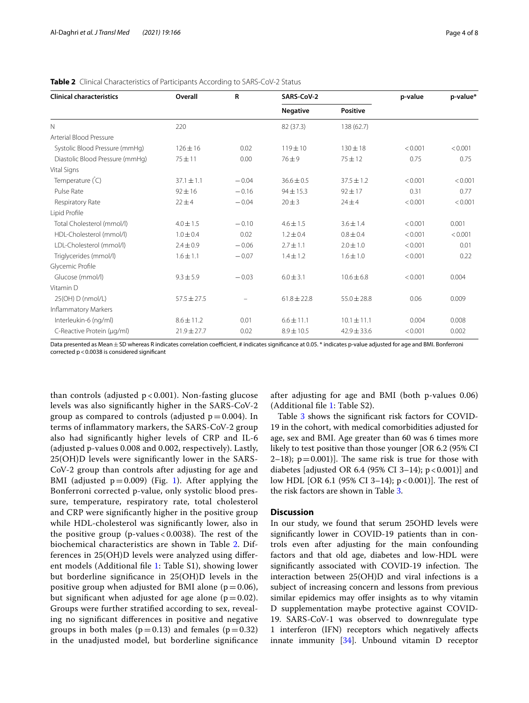| <b>Clinical characteristics</b> | Overall         | R       | SARS-CoV-2      |                 | p-value | p-value* |
|---------------------------------|-----------------|---------|-----------------|-----------------|---------|----------|
|                                 |                 |         | <b>Negative</b> | <b>Positive</b> |         |          |
| $\mathbb N$                     | 220             |         | 82 (37.3)       | 138 (62.7)      |         |          |
| Arterial Blood Pressure         |                 |         |                 |                 |         |          |
| Systolic Blood Pressure (mmHg)  | $126 \pm 16$    | 0.02    | $119 + 10$      | $130 \pm 18$    | < 0.001 | < 0.001  |
| Diastolic Blood Pressure (mmHg) | $75 + 11$       | 0.00    | $76 + 9$        | $75 + 12$       | 0.75    | 0.75     |
| Vital Signs                     |                 |         |                 |                 |         |          |
| Temperature (C)                 | $37.1 \pm 1.1$  | $-0.04$ | $36.6 \pm 0.5$  | $37.5 \pm 1.2$  | < 0.001 | < 0.001  |
| Pulse Rate                      | $92 \pm 16$     | $-0.16$ | $94 \pm 15.3$   | $92 \pm 17$     | 0.31    | 0.77     |
| Respiratory Rate                | $22 \pm 4$      | $-0.04$ | 20 ± 3          | $24 + 4$        | < 0.001 | < 0.001  |
| Lipid Profile                   |                 |         |                 |                 |         |          |
| Total Cholesterol (mmol/l)      | $4.0 \pm 1.5$   | $-0.10$ | $4.6 + 1.5$     | $3.6 \pm 1.4$   | < 0.001 | 0.001    |
| HDL-Cholesterol (mmol/l)        | $1.0 \pm 0.4$   | 0.02    | $1.2 \pm 0.4$   | $0.8 \pm 0.4$   | < 0.001 | < 0.001  |
| LDL-Cholesterol (mmol/l)        | $2.4 \pm 0.9$   | $-0.06$ | $2.7 \pm 1.1$   | $2.0 \pm 1.0$   | < 0.001 | 0.01     |
| Triglycerides (mmol/l)          | $1.6 \pm 1.1$   | $-0.07$ | $1.4 \pm 1.2$   | $1.6 \pm 1.0$   | < 0.001 | 0.22     |
| Glycemic Profile                |                 |         |                 |                 |         |          |
| Glucose (mmol/l)                | $9.3 \pm 5.9$   | $-0.03$ | $6.0 \pm 3.1$   | $10.6 \pm 6.8$  | < 0.001 | 0.004    |
| Vitamin D                       |                 |         |                 |                 |         |          |
| 25(OH) D (nmol/L)               | $57.5 \pm 27.5$ |         | $61.8 \pm 22.8$ | $55.0 \pm 28.8$ | 0.06    | 0.009    |
| Inflammatory Markers            |                 |         |                 |                 |         |          |
| Interleukin-6 (ng/ml)           | $8.6 \pm 11.2$  | 0.01    | $6.6 \pm 11.1$  | $10.1 \pm 11.1$ | 0.004   | 0.008    |
| C-Reactive Protein (µg/ml)      | $21.9 \pm 27.7$ | 0.02    | $8.9 \pm 10.5$  | $42.9 \pm 33.6$ | < 0.001 | 0.002    |

### <span id="page-3-0"></span>**Table 2** Clinical Characteristics of Participants According to SARS-CoV-2 Status

Data presented as Mean ± SD whereas R indicates correlation coefficient, # indicates significance at 0.05. \* indicates p-value adjusted for age and BMI. Bonferroni corrected p<0.0038 is considered signifcant

than controls (adjusted  $p < 0.001$ ). Non-fasting glucose levels was also signifcantly higher in the SARS-CoV-2 group as compared to controls (adjusted  $p=0.004$ ). In terms of infammatory markers, the SARS-CoV-2 group also had signifcantly higher levels of CRP and IL-6 (adjusted p-values 0.008 and 0.002, respectively). Lastly, 25(OH)D levels were signifcantly lower in the SARS-CoV-2 group than controls after adjusting for age and BMI (adjusted  $p=0.009$ ) (Fig. [1](#page-4-0)). After applying the Bonferroni corrected p-value, only systolic blood pressure, temperature, respiratory rate, total cholesterol and CRP were signifcantly higher in the positive group while HDL-cholesterol was signifcantly lower, also in the positive group (p-values  $< 0.0038$ ). The rest of the biochemical characteristics are shown in Table [2.](#page-3-0) Differences in 25(OH)D levels were analyzed using diferent models (Additional fle [1:](#page-5-0) Table S1), showing lower but borderline signifcance in 25(OH)D levels in the positive group when adjusted for BMI alone ( $p=0.06$ ), but significant when adjusted for age alone ( $p=0.02$ ). Groups were further stratifed according to sex, revealing no signifcant diferences in positive and negative groups in both males ( $p=0.13$ ) and females ( $p=0.32$ ) in the unadjusted model, but borderline signifcance

after adjusting for age and BMI (both p-values 0.06) (Additional fle [1:](#page-5-0) Table S2).

Table [3](#page-4-1) shows the signifcant risk factors for COVID-19 in the cohort, with medical comorbidities adjusted for age, sex and BMI. Age greater than 60 was 6 times more likely to test positive than those younger [OR 6.2 (95% CI 2–18);  $p=0.001$ ]. The same risk is true for those with diabetes [adjusted OR 6.4 (95% CI 3–14);  $p < 0.001$ ] and low HDL [OR 6.1 (95% CI 3–14);  $p < 0.001$ ]. The rest of the risk factors are shown in Table [3.](#page-4-1)

# **Discussion**

In our study, we found that serum 25OHD levels were signifcantly lower in COVID-19 patients than in controls even after adjusting for the main confounding factors and that old age, diabetes and low-HDL were significantly associated with COVID-19 infection. The interaction between 25(OH)D and viral infections is a subject of increasing concern and lessons from previous similar epidemics may offer insights as to why vitamin D supplementation maybe protective against COVID-19. SARS-CoV-1 was observed to downregulate type 1 interferon (IFN) receptors which negatively afects innate immunity [\[34\]](#page-7-4). Unbound vitamin D receptor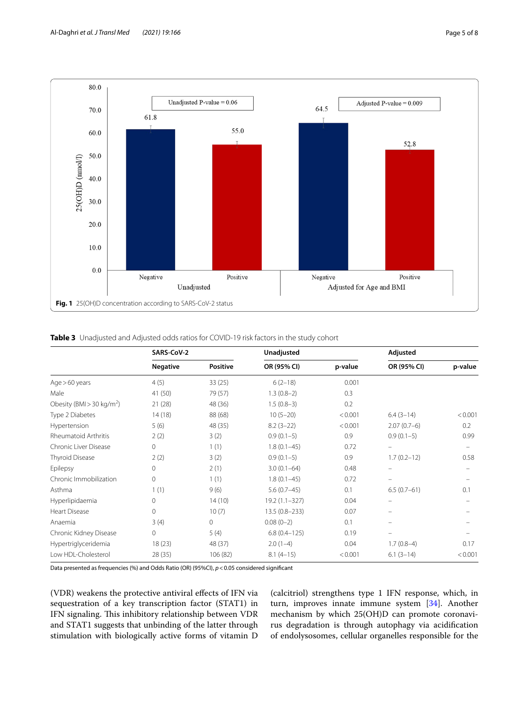

# <span id="page-4-1"></span><span id="page-4-0"></span>**Table 3** Unadjusted and Adjusted odds ratios for COVID-19 risk factors in the study cohort

|                                       | SARS-CoV-2      |                 |                  | Unadjusted |                          | Adjusted |  |
|---------------------------------------|-----------------|-----------------|------------------|------------|--------------------------|----------|--|
|                                       | <b>Negative</b> | <b>Positive</b> | OR (95% CI)      | p-value    | OR (95% CI)              | p-value  |  |
| Age > 60 years                        | 4(5)            | 33(25)          | $6(2-18)$        | 0.001      |                          |          |  |
| Male                                  | 41 (50)         | 79 (57)         | $1.3(0.8-2)$     | 0.3        |                          |          |  |
| Obesity (BMI > 30 kg/m <sup>2</sup> ) | 21 (28)         | 48 (36)         | $1.5(0.8-3)$     | 0.2        |                          |          |  |
| Type 2 Diabetes                       | 14(18)          | 88 (68)         | $10(5-20)$       | < 0.001    | $6.4(3-14)$              | < 0.001  |  |
| Hypertension                          | 5(6)            | 48 (35)         | $8.2(3-22)$      | < 0.001    | $2.07(0.7-6)$            | 0.2      |  |
| Rheumatoid Arthritis                  | 2(2)            | 3(2)            | $0.9(0.1-5)$     | 0.9        | $0.9(0.1-5)$             | 0.99     |  |
| Chronic Liver Disease                 | $\circ$         | 1(1)            | $1.8(0.1 - 45)$  | 0.72       | $\overline{\phantom{0}}$ |          |  |
| Thyroid Disease                       | 2(2)            | 3(2)            | $0.9(0.1-5)$     | 0.9        | $1.7(0.2 - 12)$          | 0.58     |  |
| Epilepsy                              | 0               | 2(1)            | $3.0(0.1 - 64)$  | 0.48       | $\equiv$                 |          |  |
| Chronic Immobilization                | $\overline{0}$  | 1(1)            | $1.8(0.1 - 45)$  | 0.72       | -                        |          |  |
| Asthma                                | 1(1)            | 9(6)            | $5.6(0.7-45)$    | 0.1        | $6.5(0.7-61)$            | 0.1      |  |
| Hyperlipidaemia                       | 0               | 14(10)          | 19.2 (1.1-327)   | 0.04       | -                        |          |  |
| <b>Heart Disease</b>                  | $\overline{0}$  | 10(7)           | 13.5 (0.8-233)   | 0.07       | $\equiv$                 |          |  |
| Anaemia                               | 3(4)            | 0               | $0.08(0-2)$      | 0.1        | $=$                      |          |  |
| Chronic Kidney Disease                | $\circ$         | 5(4)            | $6.8(0.4 - 125)$ | 0.19       | $\equiv$                 |          |  |
| Hypertriglyceridemia                  | 18(23)          | 48 (37)         | $2.0(1-4)$       | 0.04       | $1.7(0.8-4)$             | 0.17     |  |
| Low HDL-Cholesterol                   | 28 (35)         | 106 (82)        | $8.1(4-15)$      | < 0.001    | $6.1(3-14)$              | < 0.001  |  |

Data presented as frequencies (%) and Odds Ratio (OR) (95%CI),  $p$  < 0.05 considered significant

(VDR) weakens the protective antiviral efects of IFN via sequestration of a key transcription factor (STAT1) in IFN signaling. This inhibitory relationship between VDR and STAT1 suggests that unbinding of the latter through stimulation with biologically active forms of vitamin D

(calcitriol) strengthens type 1 IFN response, which, in turn, improves innate immune system [\[34\]](#page-7-4). Another mechanism by which 25(OH)D can promote coronavirus degradation is through autophagy via acidifcation of endolysosomes, cellular organelles responsible for the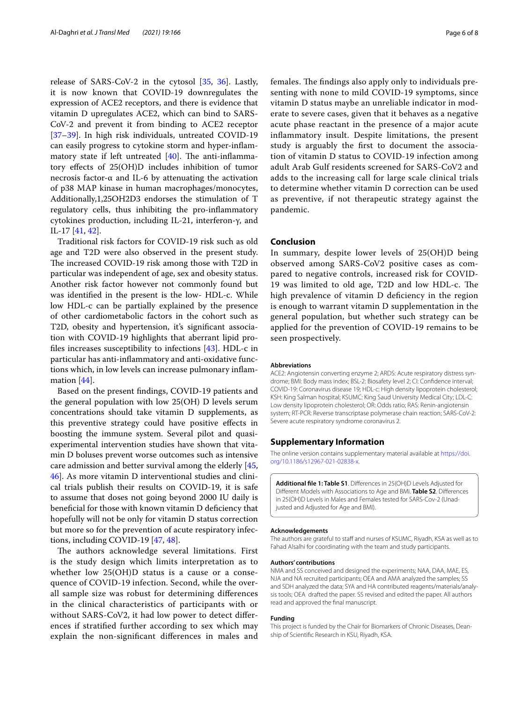release of SARS-CoV-2 in the cytosol [[35,](#page-7-5) [36](#page-7-6)]. Lastly, it is now known that COVID-19 downregulates the expression of ACE2 receptors, and there is evidence that vitamin D upregulates ACE2, which can bind to SARS-CoV-2 and prevent it from binding to ACE2 receptor [[37–](#page-7-7)[39](#page-7-8)]. In high risk individuals, untreated COVID-19 can easily progress to cytokine storm and hyper-infammatory state if left untreated  $[40]$  $[40]$ . The anti-inflammatory efects of 25(OH)D includes inhibition of tumor necrosis factor-α and IL-6 by attenuating the activation of p38 MAP kinase in human macrophages/monocytes, Additionally,1,25OH2D3 endorses the stimulation of T regulatory cells, thus inhibiting the pro-infammatory cytokines production, including IL-21, interferon-γ, and IL-17 [\[41](#page-7-10), [42\]](#page-7-11).

Traditional risk factors for COVID-19 risk such as old age and T2D were also observed in the present study. The increased COVID-19 risk among those with T2D in particular was independent of age, sex and obesity status. Another risk factor however not commonly found but was identifed in the present is the low- HDL-c. While low HDL-c can be partially explained by the presence of other cardiometabolic factors in the cohort such as T2D, obesity and hypertension, it's signifcant association with COVID-19 highlights that aberrant lipid profles increases susceptibility to infections [\[43](#page-7-12)]. HDL-c in particular has anti-infammatory and anti-oxidative functions which, in low levels can increase pulmonary infammation [\[44](#page-7-13)].

Based on the present fndings, COVID-19 patients and the general population with low 25(OH) D levels serum concentrations should take vitamin D supplements, as this preventive strategy could have positive efects in boosting the immune system. Several pilot and quasiexperimental intervention studies have shown that vitamin D boluses prevent worse outcomes such as intensive care admission and better survival among the elderly [\[45](#page-7-14), [46\]](#page-7-15). As more vitamin D interventional studies and clinical trials publish their results on COVID-19, it is safe to assume that doses not going beyond 2000 IU daily is benefcial for those with known vitamin D defciency that hopefully will not be only for vitamin D status correction but more so for the prevention of acute respiratory infections, including COVID-19 [\[47](#page-7-16), [48\]](#page-7-17).

The authors acknowledge several limitations. First is the study design which limits interpretation as to whether low 25(OH)D status is a cause or a consequence of COVID-19 infection. Second, while the overall sample size was robust for determining diferences in the clinical characteristics of participants with or without SARS-CoV2, it had low power to detect diferences if stratifed further according to sex which may explain the non-signifcant diferences in males and females. The findings also apply only to individuals presenting with none to mild COVID-19 symptoms, since vitamin D status maybe an unreliable indicator in moderate to severe cases, given that it behaves as a negative acute phase reactant in the presence of a major acute infammatory insult. Despite limitations, the present study is arguably the frst to document the association of vitamin D status to COVID-19 infection among adult Arab Gulf residents screened for SARS-CoV2 and adds to the increasing call for large scale clinical trials to determine whether vitamin D correction can be used as preventive, if not therapeutic strategy against the pandemic.

## **Conclusion**

In summary, despite lower levels of 25(OH)D being observed among SARS-CoV2 positive cases as compared to negative controls, increased risk for COVID-19 was limited to old age, T2D and low HDL-c. The high prevalence of vitamin D defciency in the region is enough to warrant vitamin D supplementation in the general population, but whether such strategy can be applied for the prevention of COVID-19 remains to be seen prospectively.

#### **Abbreviations**

ACE2: Angiotensin converting enzyme 2; ARDS: Acute respiratory distress syndrome; BMI: Body mass index; BSL-2: Biosafety level 2; CI: Confdence interval; COVID-19: Coronavirus disease 19; HDL-c: High density lipoprotein cholesterol; KSH: King Salman hospital; KSUMC: King Saud University Medical City; LDL-C: Low density lipoprotein cholesterol; OR: Odds ratio; RAS: Renin-angiotensin system; RT-PCR: Reverse transcriptase polymerase chain reaction; SARS-CoV-2: Severe acute respiratory syndrome coronavirus 2.

#### **Supplementary Information**

The online version contains supplementary material available at [https://doi.](https://doi.org/10.1186/s12967-021-02838-x) [org/10.1186/s12967-021-02838-x.](https://doi.org/10.1186/s12967-021-02838-x)

<span id="page-5-0"></span>**Additional fle 1: Table S1**. Diferences in 25(OH)D Levels Adjusted for Diferent Models with Associations to Age and BMI. **Table S2**. Diferences in 25(OH)D Levels in Males and Females tested for SARS-Cov-2 (Unadjusted and Adjusted for Age and BMI).

#### **Acknowledgements**

The authors are grateful to staff and nurses of KSUMC, Riyadh, KSA as well as to Fahad Alsalhi for coordinating with the team and study participants.

#### **Authors' contributions**

NMA and SS conceived and designed the experiments; NAA, DAA, MAE, ES, NJA and NA recruited participants; OEA and AMA analyzed the samples; SS and SDH analyzed the data; SYA and HA contributed reagents/materials/analysis tools; OEA drafted the paper. SS revised and edited the paper. All authors read and approved the fnal manuscript.

#### **Funding**

This project is funded by the Chair for Biomarkers of Chronic Diseases, Dean‑ ship of Scientifc Research in KSU, Riyadh, KSA.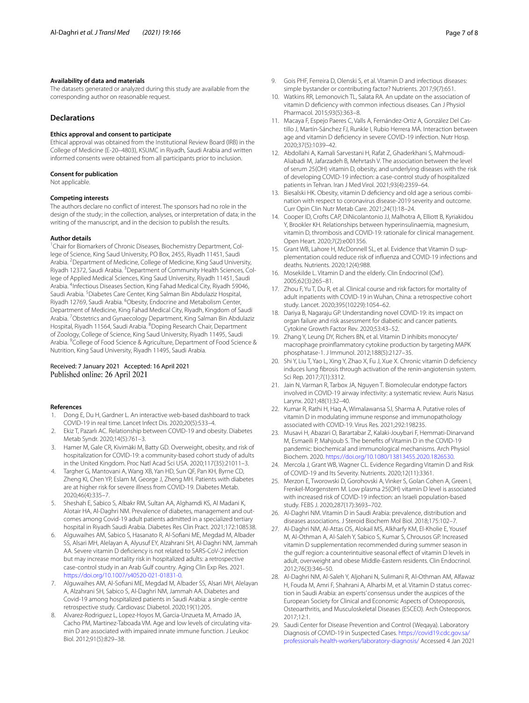#### **Availability of data and materials**

The datasets generated or analyzed during this study are available from the corresponding author on reasonable request.

# **Declarations**

#### **Ethics approval and consent to participate**

Ethical approval was obtained from the Institutional Review Board (IRB) in the College of Medicine (E-20–4803), KSUMC in Riyadh, Saudi Arabia and written informed consents were obtained from all participants prior to inclusion.

#### **Consent for publication**

Not applicable.

#### **Competing interests**

The authors declare no confict of interest. The sponsors had no role in the design of the study; in the collection, analyses, or interpretation of data; in the writing of the manuscript, and in the decision to publish the results.

#### **Author details**

<sup>1</sup> Chair for Biomarkers of Chronic Diseases, Biochemistry Department, College of Science, King Saud University, PO Box, 2455, Riyadh 11451, Saudi Arabia. <sup>2</sup> Department of Medicine, College of Medicine, King Saud University, Riyadh 12372, Saudi Arabia. <sup>3</sup> Department of Community Health Sciences, College of Applied Medical Sciences, King Saud University, Riyadh 11451, Saudi Arabia. <sup>4</sup>Infectious Diseases Section, King Fahad Medical City, Riyadh 59046, Saudi Arabia. <sup>5</sup> Diabetes Care Center, King Salman Bin Abdulaziz Hospital, Riyadh 12769, Saudi Arabia. <sup>6</sup>Obesity, Endocrine and Metabolism Center, Department of Medicine, King Fahad Medical City, Riyadh, Kingdom of Saudi Arabia. <sup>7</sup>Obstetrics and Gynaecology Department, King Salman Bin Abdulaziz Hospital, Riyadh 11564, Saudi Arabia. <sup>8</sup> Doping Research Chair, Department of Zoology, College of Science, King Saud University, Riyadh 11495, Saudi Arabia. <sup>9</sup> College of Food Science & Agriculture, Department of Food Science & Nutrition, King Saud University, Riyadh 11495, Saudi Arabia.

## Received: 7 January 2021 Accepted: 16 April 2021 Published online: 26 April 2021

#### **References**

- <span id="page-6-0"></span>1. Dong E, Du H, Gardner L. An interactive web-based dashboard to track COVID-19 in real time. Lancet Infect Dis. 2020;20(5):533–4.
- <span id="page-6-1"></span>2. Ekiz T, Pazarlı AC. Relationship between COVID-19 and obesity. Diabetes Metab Syndr. 2020;14(5):761–3.
- <span id="page-6-2"></span>Hamer M, Gale CR, Kivimäki M, Batty GD. Overweight, obesity, and risk of hospitalization for COVID-19: a community-based cohort study of adults in the United Kingdom. Proc Natl Acad Sci USA. 2020;117(35):21011–3.
- <span id="page-6-3"></span>4. Targher G, Mantovani A, Wang XB, Yan HD, Sun QF, Pan KH, Byrne CD, Zheng KI, Chen YP, Eslam M, George J, Zheng MH. Patients with diabetes are at higher risk for severe illness from COVID-19. Diabetes Metab. 2020;46(4):335–7.
- <span id="page-6-4"></span>5. Sheshah E, Sabico S, Albakr RM, Sultan AA, Alghamdi KS, Al Madani K, Alotair HA, Al-Daghri NM. Prevalence of diabetes, management and outcomes among Covid-19 adult patients admitted in a specialized tertiary hospital in Riyadh Saudi Arabia. Diabetes Res Clin Pract. 2021;172:108538.
- <span id="page-6-5"></span>6. Alguwaihes AM, Sabico S, Hasanato R, Al-Sofani ME, Megdad M, Albader SS, Alsari MH, Alelayan A, Alyusuf EY, Alzahrani SH, Al-Daghri NM, Jammah AA. Severe vitamin D defciency is not related to SARS-CoV-2 infection but may increase mortality risk in hospitalized adults: a retrospective case-control study in an Arab Gulf country. Aging Clin Exp Res. 2021. <https://doi.org/10.1007/s40520-021-01831-0>.
- <span id="page-6-6"></span>7. Alguwaihes AM, Al-Sofani ME, Megdad M, Albader SS, Alsari MH, Alelayan A, Alzahrani SH, Sabico S, Al-Daghri NM, Jammah AA. Diabetes and Covid-19 among hospitalized patients in Saudi Arabia: a single-centre retrospective study. Cardiovasc Diabetol. 2020;19(1):205.
- <span id="page-6-7"></span>8. Alvarez-Rodriguez L, Lopez-Hoyos M, Garcia-Unzueta M, Amado JA, Cacho PM, Martinez-Taboada VM. Age and low levels of circulating vitamin D are associated with impaired innate immune function. J Leukoc Biol. 2012;91(5):829–38.
- 9. Gois PHF, Ferreira D, Olenski S, et al. Vitamin D and infectious diseases: simple bystander or contributing factor? Nutrients. 2017;9(7):651.
- <span id="page-6-8"></span>10. Watkins RR, Lemonovich TL, Salata RA. An update on the association of vitamin D defciency with common infectious diseases. Can J Physiol Pharmacol. 2015;93(5):363–8.
- <span id="page-6-9"></span>11. Macaya F, Espejo Paeres C, Valls A, Fernández-Ortiz A, González Del Castillo J, Martín-Sánchez FJ, Runkle I, Rubio Herrera MÁ. Interaction between age and vitamin D defciency in severe COVID-19 infection. Nutr Hosp. 2020;37(5):1039–42.
- 12. Abdollahi A, Kamali Sarvestani H, Rafat Z, Ghaderkhani S, Mahmoudi-Aliabadi M, Jafarzadeh B, Mehrtash V. The association between the level of serum 25(OH) vitamin D, obesity, and underlying diseases with the risk of developing COVID-19 infection: a case-control study of hospitalized patients in Tehran. Iran J Med Virol. 2021;93(4):2359–64.
- 13. Biesalski HK. Obesity, vitamin D deficiency and old age a serious combination with respect to coronavirus disease-2019 severity and outcome. Curr Opin Clin Nutr Metab Care. 2021;24(1):18–24.
- <span id="page-6-10"></span>14. Cooper ID, Crofts CAP, DiNicolantonio JJ, Malhotra A, Elliott B, Kyriakidou Y, Brookler KH. Relationships between hyperinsulinaemia, magnesium, vitamin D, thrombosis and COVID-19: rationale for clinical management. Open Heart. 2020;7(2):e001356.
- <span id="page-6-11"></span>15. Grant WB, Lahore H, McDonnell SL, et al. Evidence that Vitamin D supplementation could reduce risk of infuenza and COVID-19 infections and deaths. Nutrients. 2020;12(4):988.
- <span id="page-6-12"></span>16. Mosekilde L. Vitamin D and the elderly. Clin Endocrinol (Oxf ). 2005;62(3):265–81.
- 17. Zhou F, Yu T, Du R, et al. Clinical course and risk factors for mortality of adult inpatients with COVID-19 in Wuhan, China: a retrospective cohort study. Lancet. 2020;395(10229):1054–62.
- <span id="page-6-13"></span>18. Dariya B, Nagaraju GP. Understanding novel COVID-19: its impact on organ failure and risk assessment for diabetic and cancer patients. Cytokine Growth Factor Rev. 2020;53:43–52.
- <span id="page-6-14"></span>19. Zhang Y, Leung DY, Richers BN, et al. Vitamin D inhibits monocyte/ macrophage proinfammatory cytokine production by targeting MAPK phosphatase-1. J Immunol. 2012;188(5):2127–35.
- <span id="page-6-15"></span>20. Shi Y, Liu T, Yao L, Xing Y, Zhao X, Fu J, Xue X. Chronic vitamin D defciency induces lung fbrosis through activation of the renin-angiotensin system. Sci Rep. 2017;7(1):3312.
- <span id="page-6-16"></span>21. Jain N, Varman R, Tarbox JA, Nguyen T. Biomolecular endotype factors involved in COVID-19 airway infectivity: a systematic review. Auris Nasus Larynx. 2021;48(1):32–40.
- <span id="page-6-17"></span>22. Kumar R, Rathi H, Haq A, Wimalawansa SJ, Sharma A. Putative roles of vitamin D in modulating immune response and immunopathology associated with COVID-19. Virus Res. 2021;292:198235.
- <span id="page-6-18"></span>23. Musavi H, Abazari O, Barartabar Z, Kalaki-Jouybari F, Hemmati-Dinarvand M, Esmaeili P, Mahjoub S. The benefts of Vitamin D in the COVID-19 pandemic: biochemical and immunological mechanisms. Arch Physiol Biochem. 2020. [https://doi.org/10.1080/13813455.2020.1826530.](https://doi.org/10.1080/13813455.2020.1826530)
- <span id="page-6-19"></span>24. Mercola J, Grant WB, Wagner CL. Evidence Regarding Vitamin D and Risk of COVID-19 and Its Severity. Nutrients. 2020;12(11):3361.
- <span id="page-6-20"></span>25. Merzon E, Tworowski D, Gorohovski A, Vinker S, Golan Cohen A, Green I, Frenkel-Morgenstern M. Low plasma 25(OH) vitamin D level is associated with increased risk of COVID-19 infection: an Israeli population-based study. FEBS J. 2020;287(17):3693–702.
- <span id="page-6-21"></span>26. Al-Daghri NM. Vitamin D in Saudi Arabia: prevalence, distribution and diseases associations. J Steroid Biochem Mol Biol. 2018;175:102–7.
- <span id="page-6-22"></span>27. Al-Daghri NM, Al-Attas OS, Alokail MS, Alkharfy KM, El-Kholie E, Yousef M, Al-Othman A, Al-Saleh Y, Sabico S, Kumar S, Chrousos GP. Increased vitamin D supplementation recommended during summer season in the gulf region: a counterintuitive seasonal efect of vitamin D levels in adult, overweight and obese Middle-Eastern residents. Clin Endocrinol. 2012;76(3):346–50.
- <span id="page-6-23"></span>28. Al-Daghri NM, Al-Saleh Y, Aljohani N, Sulimani R, Al-Othman AM, Alfawaz H, Fouda M, Amri F, Shahrani A, Alharbi M, et al. Vitamin D status correction in Saudi Arabia: an experts' consensus under the auspices of the European Society for Clinical and Economic Aspects of Osteoporosis, Osteoarthritis, and Musculoskeletal Diseases (ESCEO). Arch Osteoporos. 2017;12:1.
- <span id="page-6-24"></span>29. Saudi Center for Disease Prevention and Control (Weqaya). Laboratory Diagnosis of COVID-19 in Suspected Cases. [https://covid19.cdc.gov.sa/](https://covid19.cdc.gov.sa/professionals-health-workers/laboratory-diagnosis/) [professionals-health-workers/laboratory-diagnosis/](https://covid19.cdc.gov.sa/professionals-health-workers/laboratory-diagnosis/) Accessed 4 Jan 2021